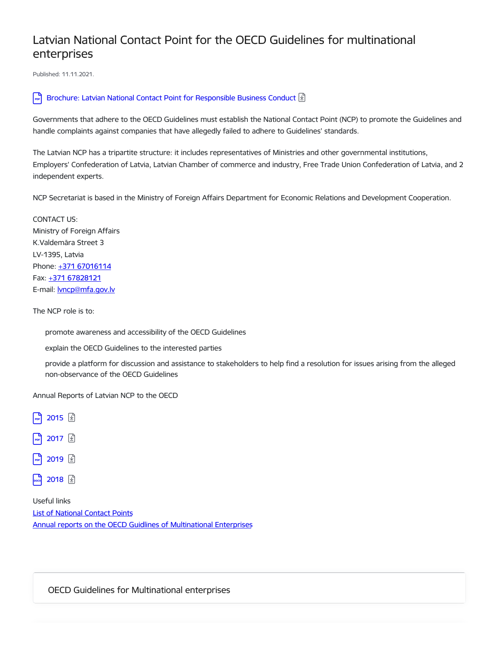## Latvian National Contact Point for the OECD Guidelines for multinational enterprises

Published: 11.11.2021.

## Brochure: Latvian National Contact Point for [Responsible](https://www.mfa.gov.lv/en/media/4569/download) Business Conduct  $\boxed{\mathfrak{D}}$

Governments that adhere to the OECD Guidelines must establish the National Contact Point (NCP) to promote the Guidelines and handle complaints against companies that have allegedly failed to adhere to Guidelines' standards.

The Latvian NCP has a tripartite structure: it includes representatives of Ministries and other governmental institutions, Employers' Confederation of Latvia, Latvian Chamber of commerce and industry, Free Trade Union Confederation of Latvia, and 2 independent experts.

NCP Secretariat is based in the Ministry of Foreign Affairs Department for Economic Relations and Development Cooperation.

CONTACT US: Ministry of Foreign Affairs K.Valdemāra Street 3 LV-1395, Latvia Phone: +371 [67016114](tel:+371%2067016114) Fax: +371 [67828121](tel:+371%2067828121) E-mail: **[lvncp@mfa.gov.lv](mailto:lvncp@mfa.gov.lv)** 

The NCP role is to:

promote awareness and accessibility of the OECD Guidelines

explain the OECD Guidelines to the interested parties

provide a platform for discussion and assistance to stakeholders to help find a resolution for issues arising from the alleged non-observance of the OECD Guidelines

Annual Reports of Latvian NCP to the OECD



Useful links List of [National](http://mneguidelines.oecd.org/ncps/) Contact Points Annual reports on the OECD Guidlines of [Multinational](http://mneguidelines.oecd.org/annualreportsontheguidelines.htm) Enterprises

OECD Guidelines for Multinational enterprises